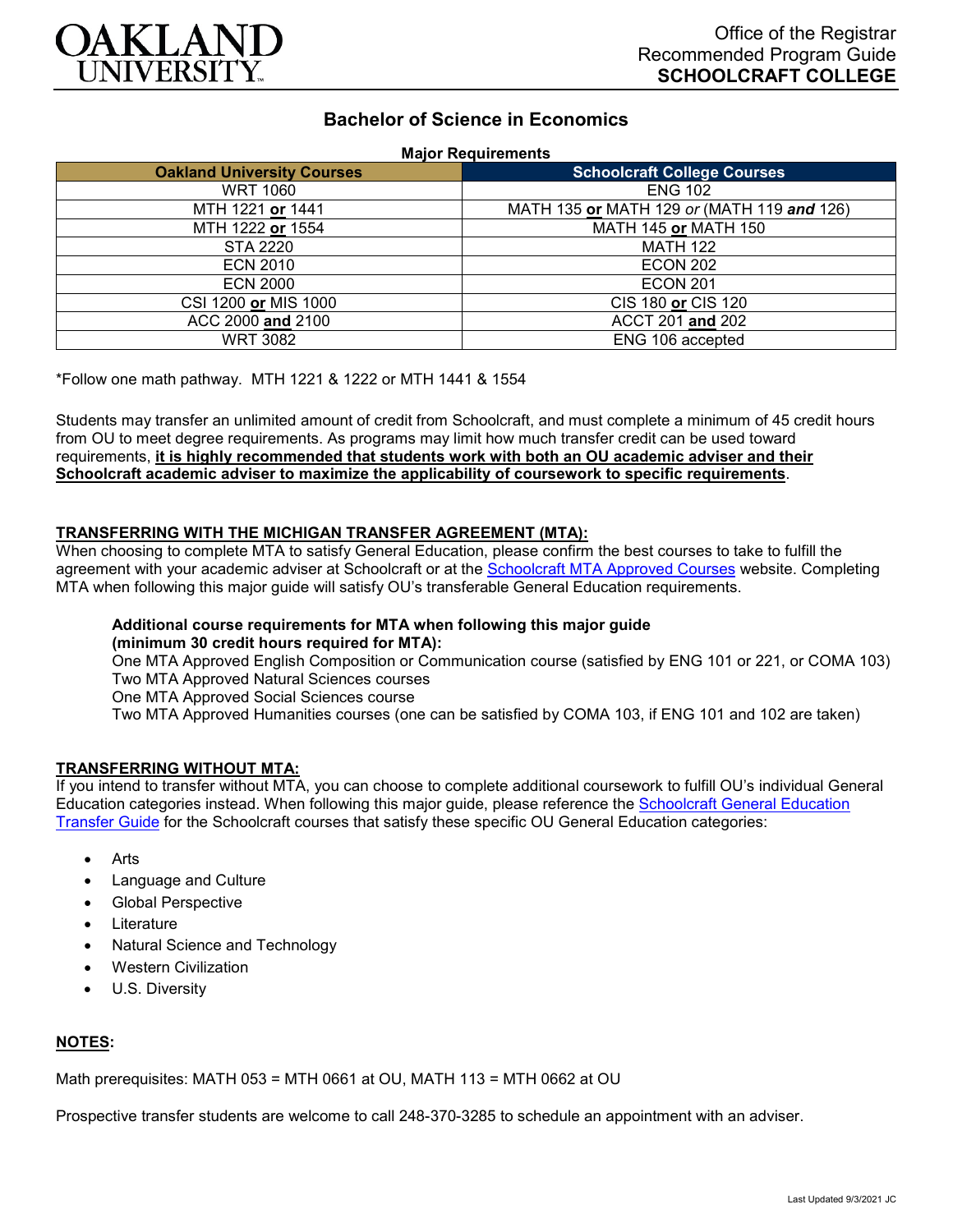

# **Bachelor of Science in Economics**

#### **Major Requirements**

| <b>Oakland University Courses</b> | <b>Schoolcraft College Courses</b>         |
|-----------------------------------|--------------------------------------------|
| <b>WRT 1060</b>                   | <b>ENG 102</b>                             |
| MTH 1221 or 1441                  | MATH 135 or MATH 129 or (MATH 119 and 126) |
| MTH 1222 or 1554                  | MATH 145 or MATH 150                       |
| <b>STA 2220</b>                   | <b>MATH 122</b>                            |
| <b>ECN 2010</b>                   | <b>ECON 202</b>                            |
| <b>ECN 2000</b>                   | <b>ECON 201</b>                            |
| CSI 1200 or MIS 1000              | CIS 180 or CIS 120                         |
| ACC 2000 and 2100                 | ACCT 201 and 202                           |
| <b>WRT 3082</b>                   | ENG 106 accepted                           |

\*Follow one math pathway. MTH 1221 & 1222 or MTH 1441 & 1554

Students may transfer an unlimited amount of credit from Schoolcraft, and must complete a minimum of 45 credit hours from OU to meet degree requirements. As programs may limit how much transfer credit can be used toward requirements, **it is highly recommended that students work with both an OU academic adviser and their Schoolcraft academic adviser to maximize the applicability of coursework to specific requirements**.

### **TRANSFERRING WITH THE MICHIGAN TRANSFER AGREEMENT (MTA):**

When choosing to complete MTA to satisfy General Education, please confirm the best courses to take to fulfill the agreement with your academic adviser at Schoolcraft or at the **Schoolcraft MTA Approved Courses** website. Completing MTA when following this major guide will satisfy OU's transferable General Education requirements.

### **Additional course requirements for MTA when following this major guide (minimum 30 credit hours required for MTA):**

One MTA Approved English Composition or Communication course (satisfied by ENG 101 or 221, or COMA 103) Two MTA Approved Natural Sciences courses

One MTA Approved Social Sciences course

Two MTA Approved Humanities courses (one can be satisfied by COMA 103, if ENG 101 and 102 are taken)

### **TRANSFERRING WITHOUT MTA:**

If you intend to transfer without MTA, you can choose to complete additional coursework to fulfill OU's individual General Education categories instead. When following this major guide, please reference the [Schoolcraft General Education](https://www.oakland.edu/Assets/Oakland/program-guides/schoolcraft-college/university-general-education-requirements/Schoolcraft%20Gen%20Ed.pdf)  [Transfer Guide](https://www.oakland.edu/Assets/Oakland/program-guides/schoolcraft-college/university-general-education-requirements/Schoolcraft%20Gen%20Ed.pdf) for the Schoolcraft courses that satisfy these specific OU General Education categories:

- Arts
- Language and Culture
- Global Perspective
- **Literature**
- Natural Science and Technology
- Western Civilization
- U.S. Diversity

### **NOTES:**

Math prerequisites: MATH 053 = MTH 0661 at OU, MATH 113 = MTH 0662 at OU

Prospective transfer students are welcome to call 248-370-3285 to schedule an appointment with an adviser.